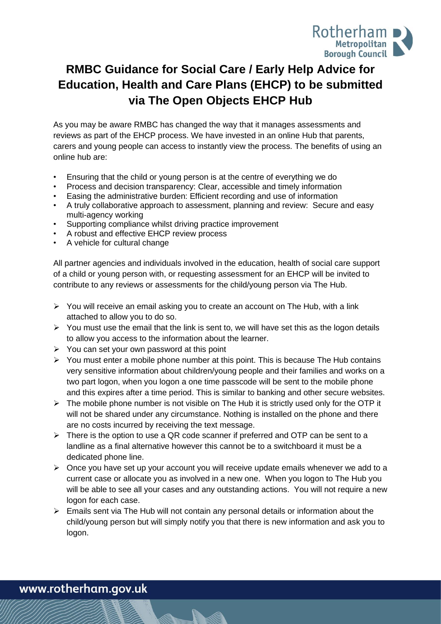

# **RMBC Guidance for Social Care / Early Help Advice for Education, Health and Care Plans (EHCP) to be submitted via The Open Objects EHCP Hub**

As you may be aware RMBC has changed the way that it manages assessments and reviews as part of the EHCP process. We have invested in an online Hub that parents, carers and young people can access to instantly view the process. The benefits of using an online hub are:

- Ensuring that the child or young person is at the centre of everything we do
- Process and decision transparency: Clear, accessible and timely information
- Easing the administrative burden: Efficient recording and use of information
- A truly collaborative approach to assessment, planning and review: Secure and easy multi-agency working
- Supporting compliance whilst driving practice improvement
- A robust and effective EHCP review process
- A vehicle for cultural change

All partner agencies and individuals involved in the education, health of social care support of a child or young person with, or requesting assessment for an EHCP will be invited to contribute to any reviews or assessments for the child/young person via The Hub.

- ➢ You will receive an email asking you to create an account on The Hub, with a link attached to allow you to do so.
- $\triangleright$  You must use the email that the link is sent to, we will have set this as the logon details to allow you access to the information about the learner.
- $\triangleright$  You can set your own password at this point
- $\triangleright$  You must enter a mobile phone number at this point. This is because The Hub contains very sensitive information about children/young people and their families and works on a two part logon, when you logon a one time passcode will be sent to the mobile phone and this expires after a time period. This is similar to banking and other secure websites.
- $\triangleright$  The mobile phone number is not visible on The Hub it is strictly used only for the OTP it will not be shared under any circumstance. Nothing is installed on the phone and there are no costs incurred by receiving the text message.
- $\triangleright$  There is the option to use a QR code scanner if preferred and OTP can be sent to a landline as a final alternative however this cannot be to a switchboard it must be a dedicated phone line.
- ➢ Once you have set up your account you will receive update emails whenever we add to a current case or allocate you as involved in a new one. When you logon to The Hub you will be able to see all your cases and any outstanding actions. You will not require a new logon for each case.
- ➢ Emails sent via The Hub will not contain any personal details or information about the child/young person but will simply notify you that there is new information and ask you to logon.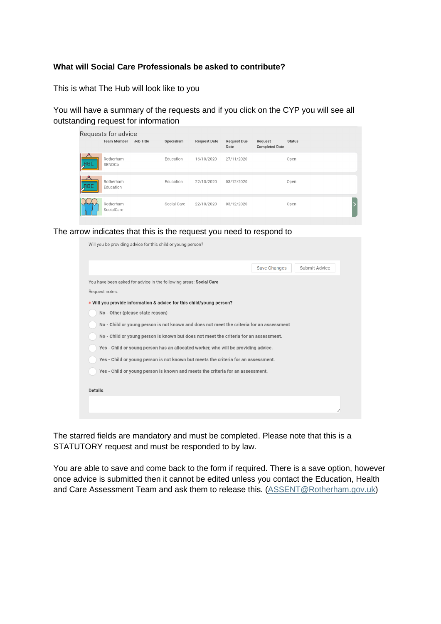#### **What will Social Care Professionals be asked to contribute?**

This is what The Hub will look like to you

You will have a summary of the requests and if you click on the CYP you will see all outstanding request for information

|                         | Requests for advice             |             |                     |                            |                                  |               |
|-------------------------|---------------------------------|-------------|---------------------|----------------------------|----------------------------------|---------------|
|                         | <b>Team Member</b><br>Job Title | Specialism  | <b>Request Date</b> | <b>Request Due</b><br>Date | Request<br><b>Completed Date</b> | <b>Status</b> |
| <b>ABC</b>              | Rotherham<br>SENDCo             | Education   | 16/10/2020          | 27/11/2020                 |                                  | Open          |
| <u> ዶ</u><br><b>JHC</b> | Rotherham<br>Education          | Education   | 22/10/2020          | 03/12/2020                 |                                  | Open          |
|                         | Rotherham<br>SocialCare         | Social Care | 22/10/2020          | 03/12/2020                 |                                  | Open          |

The arrow indicates that this is the request you need to respond to

| Will you be providing advice for this child or young person?                             |                                      |
|------------------------------------------------------------------------------------------|--------------------------------------|
|                                                                                          | Submit Advice<br><b>Save Changes</b> |
| You have been asked for advice in the following areas: Social Care                       |                                      |
| Request notes:                                                                           |                                      |
| * Will you provide information & advice for this child/young person?                     |                                      |
| No - Other (please state reason)                                                         |                                      |
| No - Child or young person is not known and does not meet the criteria for an assessment |                                      |
| No - Child or young person is known but does not meet the criteria for an assessment.    |                                      |
| Yes - Child or young person has an allocated worker, who will be providing advice.       |                                      |
| Yes - Child or young person is not known but meets the criteria for an assessment.       |                                      |
| Yes - Child or young person is known and meets the criteria for an assessment.           |                                      |
|                                                                                          |                                      |
| <b>Details</b>                                                                           |                                      |
|                                                                                          |                                      |
|                                                                                          |                                      |

The starred fields are mandatory and must be completed. Please note that this is a STATUTORY request and must be responded to by law.

You are able to save and come back to the form if required. There is a save option, however once advice is submitted then it cannot be edited unless you contact the Education, Health and Care Assessment Team and ask them to release this. [\(ASSENT@Rotherham.gov.uk\)](mailto:ASSENT@Rotherham.gov.uk)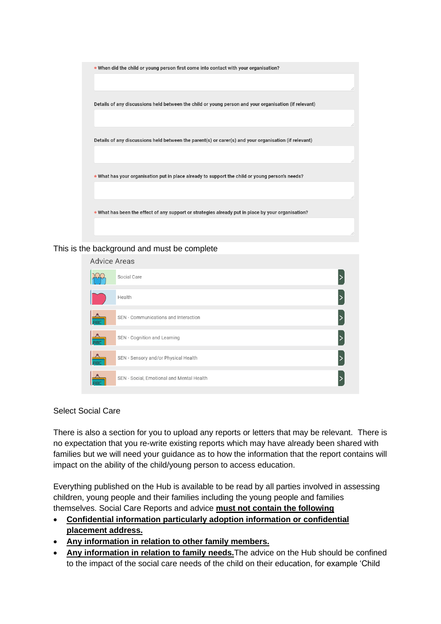

This is the background and must be complete

| <b>Advice Areas</b>                   |                                           |  |
|---------------------------------------|-------------------------------------------|--|
|                                       | Social Care                               |  |
|                                       | Health                                    |  |
| <b>RBC</b>                            | SEN - Communications and Interaction      |  |
| $\overline{\mathbf{A}}$<br><b>RBC</b> | SEN - Cognition and Learning              |  |
| <b>RBC</b>                            | SEN - Sensory and/or Physical Health      |  |
|                                       | SEN - Social, Emotional and Mental Health |  |

#### Select Social Care

There is also a section for you to upload any reports or letters that may be relevant. There is no expectation that you re-write existing reports which may have already been shared with families but we will need your guidance as to how the information that the report contains will impact on the ability of the child/young person to access education.

Everything published on the Hub is available to be read by all parties involved in assessing children, young people and their families including the young people and families themselves. Social Care Reports and advice **must not contain the following**

- **Confidential information particularly adoption information or confidential placement address.**
- **Any information in relation to other family members.**
- **Any information in relation to family needs.**The advice on the Hub should be confined to the impact of the social care needs of the child on their education, for example 'Child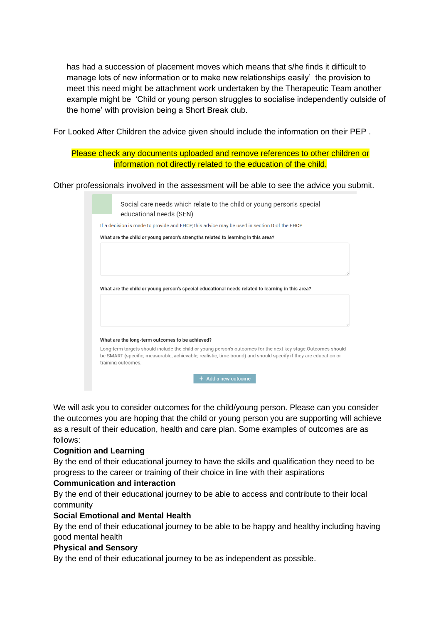has had a succession of placement moves which means that s/he finds it difficult to manage lots of new information or to make new relationships easily' the provision to meet this need might be attachment work undertaken by the Therapeutic Team another example might be 'Child or young person struggles to socialise independently outside of the home' with provision being a Short Break club.

For Looked After Children the advice given should include the information on their PEP .

Please check any documents uploaded and remove references to other children or information not directly related to the education of the child.

Other professionals involved in the assessment will be able to see the advice you submit.

| Social care needs which relate to the child or young person's special<br>educational needs (SEN)                                                                                                                                                      |
|-------------------------------------------------------------------------------------------------------------------------------------------------------------------------------------------------------------------------------------------------------|
| If a decision is made to provide and EHCP, this advice may be used in section D of the EHCP                                                                                                                                                           |
| What are the child or young person's strengths related to learning in this area?                                                                                                                                                                      |
|                                                                                                                                                                                                                                                       |
|                                                                                                                                                                                                                                                       |
| 11                                                                                                                                                                                                                                                    |
|                                                                                                                                                                                                                                                       |
| What are the child or young person's special educational needs related to learning in this area?                                                                                                                                                      |
|                                                                                                                                                                                                                                                       |
|                                                                                                                                                                                                                                                       |
|                                                                                                                                                                                                                                                       |
|                                                                                                                                                                                                                                                       |
| What are the long-term outcomes to be achieved?                                                                                                                                                                                                       |
| Long-term targets should include the child or young person's outcomes for the next key stage. Outcomes should<br>be SMART (specific, measurable, achievable, realistic, time-bound) and should specify if they are education or<br>training outcomes. |
| Add a new outcome<br>$\pm$                                                                                                                                                                                                                            |

We will ask you to consider outcomes for the child/young person. Please can you consider the outcomes you are hoping that the child or young person you are supporting will achieve as a result of their education, health and care plan. Some examples of outcomes are as follows:

#### **Cognition and Learning**

By the end of their educational journey to have the skills and qualification they need to be progress to the career or training of their choice in line with their aspirations

#### **Communication and interaction**

By the end of their educational journey to be able to access and contribute to their local community

#### **Social Emotional and Mental Health**

By the end of their educational journey to be able to be happy and healthy including having good mental health

#### **Physical and Sensory**

By the end of their educational journey to be as independent as possible.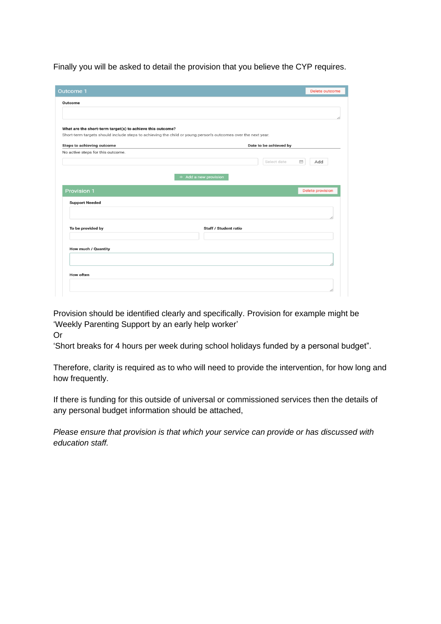Finally you will be asked to detail the provision that you believe the CYP requires.

| <b>Outcome 1</b>                                           | Delete outcome                                                                                                |
|------------------------------------------------------------|---------------------------------------------------------------------------------------------------------------|
| Outcome                                                    |                                                                                                               |
|                                                            |                                                                                                               |
|                                                            |                                                                                                               |
| What are the short-term target(s) to achieve this outcome? |                                                                                                               |
|                                                            | Short-term targets should include steps to achieving the child or young person's outcomes over the next year. |
| <b>Steps to achieving outcome</b>                          | Date to be achieved by                                                                                        |
| No active steps for this outcome.                          |                                                                                                               |
|                                                            | Select date<br>Add<br>$\frac{1}{\left(1\right)^{n}}$                                                          |
|                                                            |                                                                                                               |
|                                                            | $+$ Add a new provision                                                                                       |
|                                                            |                                                                                                               |
|                                                            |                                                                                                               |
| <b>Provision 1</b>                                         | <b>Delete provision</b>                                                                                       |
| <b>Support Needed</b>                                      |                                                                                                               |
|                                                            |                                                                                                               |
|                                                            |                                                                                                               |
| To be provided by                                          | Staff / Student ratio                                                                                         |
|                                                            |                                                                                                               |
|                                                            |                                                                                                               |
| How much / Quantity                                        |                                                                                                               |
|                                                            |                                                                                                               |
|                                                            |                                                                                                               |
| <b>How often</b>                                           |                                                                                                               |

Provision should be identified clearly and specifically. Provision for example might be 'Weekly Parenting Support by an early help worker'

Or

'Short breaks for 4 hours per week during school holidays funded by a personal budget".

Therefore, clarity is required as to who will need to provide the intervention, for how long and how frequently.

If there is funding for this outside of universal or commissioned services then the details of any personal budget information should be attached,

*Please ensure that provision is that which your service can provide or has discussed with education staff.*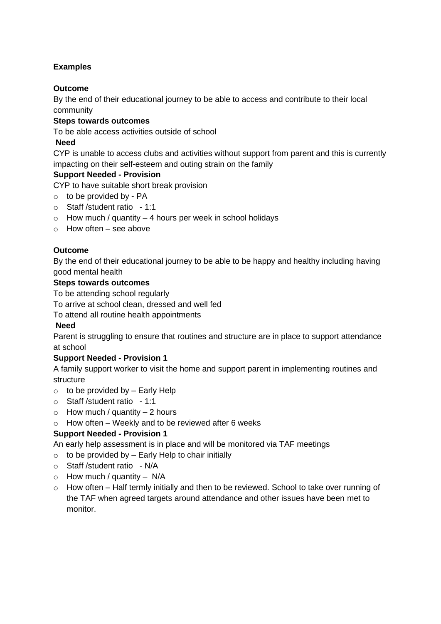# **Examples**

# **Outcome**

By the end of their educational journey to be able to access and contribute to their local community

## **Steps towards outcomes**

To be able access activities outside of school

## **Need**

CYP is unable to access clubs and activities without support from parent and this is currently impacting on their self-esteem and outing strain on the family

## **Support Needed - Provision**

CYP to have suitable short break provision

- $\circ$  to be provided by PA
- o Staff /student ratio 1:1
- $\circ$  How much / quantity 4 hours per week in school holidays
- $\circ$  How often see above

## **Outcome**

By the end of their educational journey to be able to be happy and healthy including having good mental health

### **Steps towards outcomes**

To be attending school regularly

To arrive at school clean, dressed and well fed

To attend all routine health appointments

#### **Need**

Parent is struggling to ensure that routines and structure are in place to support attendance at school

## **Support Needed - Provision 1**

A family support worker to visit the home and support parent in implementing routines and structure

- $\circ$  to be provided by Early Help
- o Staff /student ratio 1:1
- $\circ$  How much / quantity 2 hours
- $\circ$  How often Weekly and to be reviewed after 6 weeks

## **Support Needed - Provision 1**

An early help assessment is in place and will be monitored via TAF meetings

- $\circ$  to be provided by Early Help to chair initially
- o Staff /student ratio N/A
- $\circ$  How much / quantity N/A
- o How often Half termly initially and then to be reviewed. School to take over running of the TAF when agreed targets around attendance and other issues have been met to monitor.